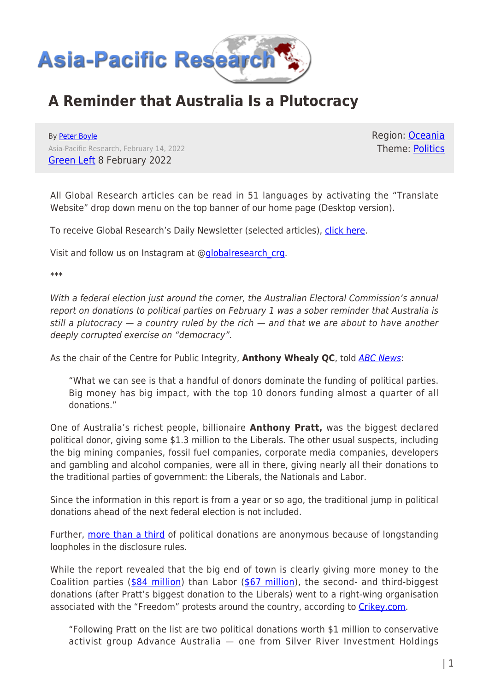

## **A Reminder that Australia Is a Plutocracy**

By [Peter Boyle](https://www.asia-pacificresearch.com/author/peter-boyle) Asia-Pacific Research, February 14, 2022 [Green Left](https://www.greenleft.org.au/content/reminder-australia-plutocracy) 8 February 2022

Region: [Oceania](https://www.asia-pacificresearch.com/region/as-oceania) Theme: [Politics](https://www.asia-pacificresearch.com/theme/politics)

All Global Research articles can be read in 51 languages by activating the "Translate Website" drop down menu on the top banner of our home page (Desktop version).

To receive Global Research's Daily Newsletter (selected articles), [click here.](https://lp.constantcontactpages.com/su/IJiNQuW?EMAIL=&go.x=0&go.y=0&go=GO)

Visit and follow us on Instagram at @[globalresearch\\_crg.](https://www.instagram.com/globalresearch_crg/)

\*\*\*

With a federal election just around the corner, the Australian Electoral Commission's annual report on donations to political parties on February 1 was a sober reminder that Australia is still a plutocracy  $-$  a country ruled by the rich  $-$  and that we are about to have another deeply corrupted exercise on "democracy".

As the chair of the Centre for Public Integrity, **Anthony Whealy QC**, told [ABC News](https://www.abc.net.au/news/2022-02-01/australian-election-commission-financial-disclosure/100794808):

"What we can see is that a handful of donors dominate the funding of political parties. Big money has big impact, with the top 10 donors funding almost a quarter of all donations."

One of Australia's richest people, billionaire **Anthony Pratt,** was the biggest declared political donor, giving some \$1.3 million to the Liberals. The other usual suspects, including the big mining companies, fossil fuel companies, corporate media companies, developers and gambling and alcohol companies, were all in there, giving nearly all their donations to the traditional parties of government: the Liberals, the Nationals and Labor.

Since the information in this report is from a year or so ago, the traditional jump in political donations ahead of the next federal election is not included.

Further, [more than a third](https://www.abc.net.au/news/2022-02-01/australian-election-commission-financial-disclosure/100794808) of political donations are anonymous because of longstanding loopholes in the disclosure rules.

While the report revealed that the big end of town is clearly giving more money to the Coalition parties ([\\$84 million\)](https://www.smh.com.au/politics/federal/coalition-boosts-donations-ahead-of-election-electoral-commission-figures-reveal-20220201-p59sr1.html) than Labor ([\\$67 million\)](https://www.smh.com.au/politics/federal/coalition-boosts-donations-ahead-of-election-electoral-commission-figures-reveal-20220201-p59sr1.html), the second- and third-biggest donations (after Pratt's biggest donation to the Liberals) went to a right-wing organisation associated with the "Freedom" protests around the country, according to [Crikey.com.](https://www.crikey.com.au/2022/02/01/australian-political-donations-pratt-conspiracy-theorists-the-big-spenders/)

"Following Pratt on the list are two political donations worth \$1 million to conservative activist group Advance Australia — one from Silver River Investment Holdings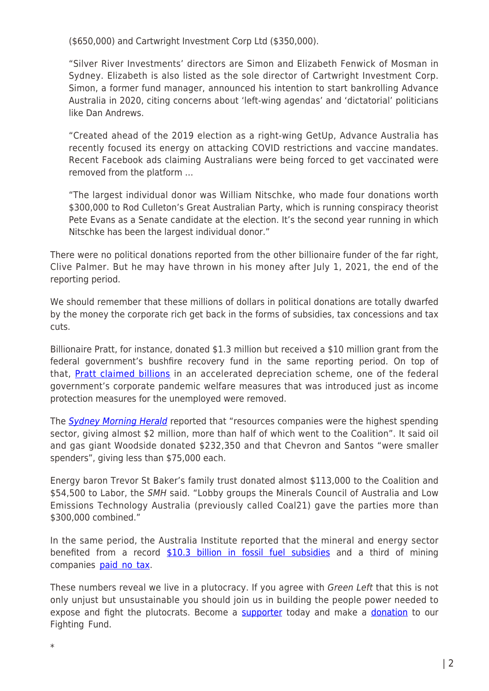(\$650,000) and Cartwright Investment Corp Ltd (\$350,000).

"Silver River Investments' directors are Simon and Elizabeth Fenwick of Mosman in Sydney. Elizabeth is also listed as the sole director of Cartwright Investment Corp. Simon, a former fund manager, announced his intention to start bankrolling Advance Australia in 2020, citing concerns about 'left-wing agendas' and 'dictatorial' politicians like Dan Andrews.

"Created ahead of the 2019 election as a right-wing GetUp, Advance Australia has recently focused its energy on attacking COVID restrictions and vaccine mandates. Recent Facebook ads claiming Australians were being forced to get vaccinated were removed from the platform …

"The largest individual donor was William Nitschke, who made four donations worth \$300,000 to Rod Culleton's Great Australian Party, which is running conspiracy theorist Pete Evans as a Senate candidate at the election. It's the second year running in which Nitschke has been the largest individual donor."

There were no political donations reported from the other billionaire funder of the far right, Clive Palmer. But he may have thrown in his money after July 1, 2021, the end of the reporting period.

We should remember that these millions of dollars in political donations are totally dwarfed by the money the corporate rich get back in the forms of subsidies, tax concessions and tax cuts.

Billionaire Pratt, for instance, donated \$1.3 million but received a \$10 million grant from the federal government's bushfire recovery fund in the same reporting period. On top of that, [Pratt claimed billions](https://www.afr.com/politics/federal/pratt-draws-on-tax-break-for-recycling-boost-20210226-p5761d) in an accelerated depreciation scheme, one of the federal government's corporate pandemic welfare measures that was introduced just as income protection measures for the unemployed were removed.

The [Sydney Morning Herald](https://www.smh.com.au/politics/federal/coalition-boosts-donations-ahead-of-election-electoral-commission-figures-reveal-20220201-p59sr1.html) reported that "resources companies were the highest spending sector, giving almost \$2 million, more than half of which went to the Coalition". It said oil and gas giant Woodside donated \$232,350 and that Chevron and Santos "were smaller spenders", giving less than \$75,000 each.

Energy baron Trevor St Baker's family trust donated almost \$113,000 to the Coalition and \$54,500 to Labor, the SMH said. "Lobby groups the Minerals Council of Australia and Low Emissions Technology Australia (previously called Coal21) gave the parties more than \$300,000 combined."

In the same period, the Australia Institute reported that the mineral and energy sector benefited from a record [\\$10.3 billion in fossil fuel subsidies](https://australiainstitute.org.au/post/australian-fossil-fuel-subsidies-hit-10-3-billion-in-2020-21/) and a third of mining companies [paid no tax.](https://www.abc.net.au/news/2021-12-10/companies-multinationals-corporate-tax-transparency-ato-covid19/100687574)

These numbers reveal we live in a plutocracy. If you agree with Green Left that this is not only unjust but unsustainable you should join us in building the people power needed to expose and fight the plutocrats. Become a [supporter](https://www.greenleft.org.au/support) today and make a [donation](https://www.greenleft.org.au/donate) to our Fighting Fund.